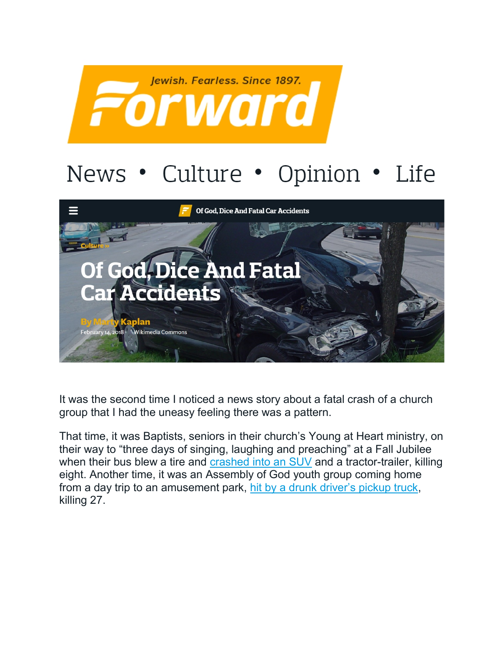

## News • Culture • Opinion • Life



It was the second time I noticed a news story about a fatal crash of a church group that I had the uneasy feeling there was a pattern.

That time, it was Baptists, seniors in their church's Young at Heart ministry, on their way to "three days of singing, laughing and preaching" at a Fall Jubilee when their bus blew a tire and [crashed into an SUV](http://articles.latimes.com/2013/oct/03/nation/la-na-nn-tennessee-bus-victims-20131003) and a tractor-trailer, killing eight. Another time, it was an Assembly of God youth group coming home from a day trip to an amusement park, [hit by a drunk driver's pickup truck,](http://www.nytimes.com/1988/05/16/us/fiery-crash-kills-27-in-kentucky-as-truck-and-youths-bus-collide.html) killing 27.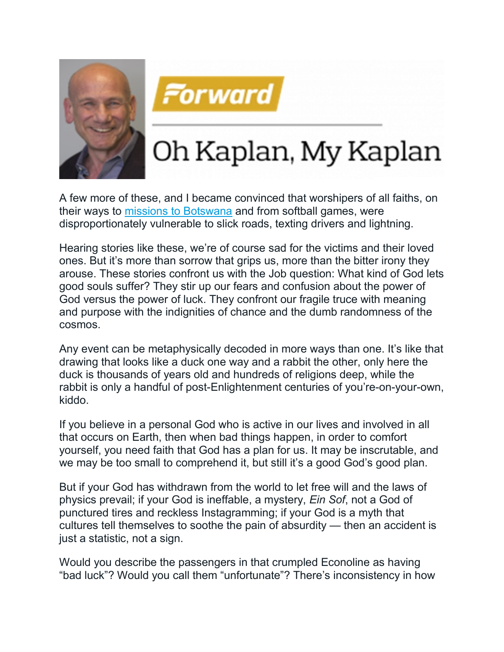



## Oh Kaplan, My Kaplan

A few more of these, and I became convinced that worshipers of all faiths, on their ways to [missions to Botswana](http://www.christianitytoday.com/news/2017/june/megachurch-bus-crash-kills-teen-girl-missions-trip-africa.html) and from softball games, were disproportionately vulnerable to slick roads, texting drivers and lightning.

Hearing stories like these, we're of course sad for the victims and their loved ones. But it's more than sorrow that grips us, more than the bitter irony they arouse. These stories confront us with the Job question: What kind of God lets good souls suffer? They stir up our fears and confusion about the power of God versus the power of luck. They confront our fragile truce with meaning and purpose with the indignities of chance and the dumb randomness of the cosmos.

Any event can be metaphysically decoded in more ways than one. It's like that drawing that looks like a duck one way and a rabbit the other, only here the duck is thousands of years old and hundreds of religions deep, while the rabbit is only a handful of post-Enlightenment centuries of you're-on-your-own, kiddo.

If you believe in a personal God who is active in our lives and involved in all that occurs on Earth, then when bad things happen, in order to comfort yourself, you need faith that God has a plan for us. It may be inscrutable, and we may be too small to comprehend it, but still it's a good God's good plan.

But if your God has withdrawn from the world to let free will and the laws of physics prevail; if your God is ineffable, a mystery, *Ein Sof*, not a God of punctured tires and reckless Instagramming; if your God is a myth that cultures tell themselves to soothe the pain of absurdity — then an accident is just a statistic, not a sign.

Would you describe the passengers in that crumpled Econoline as having "bad luck"? Would you call them "unfortunate"? There's inconsistency in how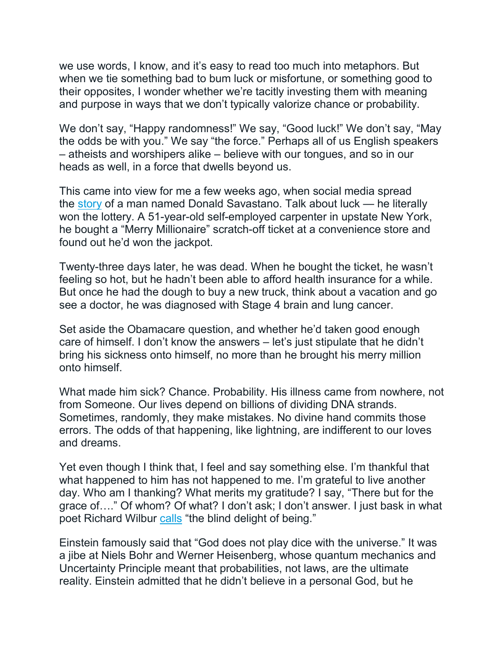we use words, I know, and it's easy to read too much into metaphors. But when we tie something bad to bum luck or misfortune, or something good to their opposites, I wonder whether we're tacitly investing them with meaning and purpose in ways that we don't typically valorize chance or probability.

We don't say, "Happy randomness!" We say, "Good luck!" We don't say, "May the odds be with you." We say "the force." Perhaps all of us English speakers – atheists and worshipers alike – believe with our tongues, and so in our heads as well, in a force that dwells beyond us.

This came into view for me a few weeks ago, when social media spread the [story](http://abc7chicago.com/hobbies/lottery-winner-dies-weeks-after-cashing-in-%241m-scratch-off-ticket/3008129/) of a man named Donald Savastano. Talk about luck — he literally won the lottery. A 51-year-old self-employed carpenter in upstate New York, he bought a "Merry Millionaire" scratch-off ticket at a convenience store and found out he'd won the jackpot.

Twenty-three days later, he was dead. When he bought the ticket, he wasn't feeling so hot, but he hadn't been able to afford health insurance for a while. But once he had the dough to buy a new truck, think about a vacation and go see a doctor, he was diagnosed with Stage 4 brain and lung cancer.

Set aside the Obamacare question, and whether he'd taken good enough care of himself. I don't know the answers – let's just stipulate that he didn't bring his sickness onto himself, no more than he brought his merry million onto himself.

What made him sick? Chance. Probability. His illness came from nowhere, not from Someone. Our lives depend on billions of dividing DNA strands. Sometimes, randomly, they make mistakes. No divine hand commits those errors. The odds of that happening, like lightning, are indifferent to our loves and dreams.

Yet even though I think that, I feel and say something else. I'm thankful that what happened to him has not happened to me. I'm grateful to live another day. Who am I thanking? What merits my gratitude? I say, "There but for the grace of…." Of whom? Of what? I don't ask; I don't answer. I just bask in what poet Richard Wilbur [calls](https://www.nytimes.com/2018/01/12/books/review/richard-wilbur-poetry-happiness.html) "the blind delight of being."

Einstein famously said that "God does not play dice with the universe." It was a jibe at Niels Bohr and Werner Heisenberg, whose quantum mechanics and Uncertainty Principle meant that probabilities, not laws, are the ultimate reality. Einstein admitted that he didn't believe in a personal God, but he